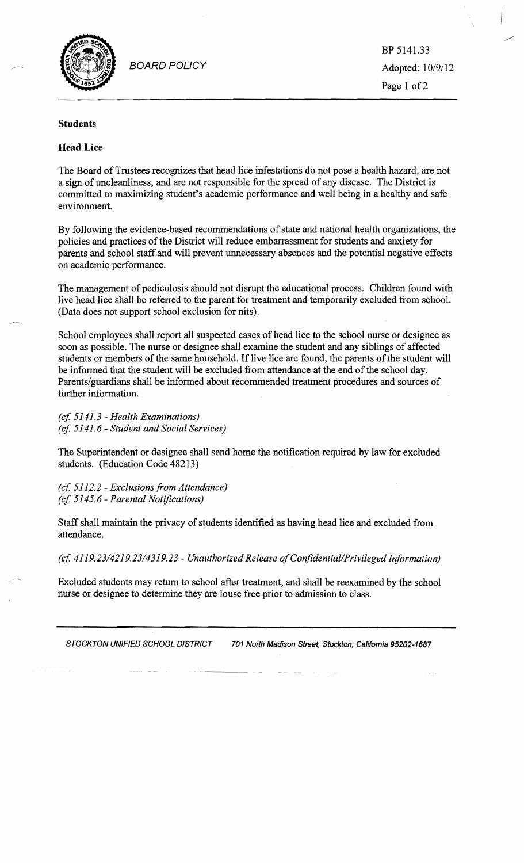

BOARD POLICY Adopted: 10/9/12

BP 5141.33 Page 1 of 2

## **Students**

## **Head Lice**

The Board of Trustees recognizes that head lice infestations do not pose a health hazard, are not a sign of uncleanliness, and are not responsible for the spread of any disease. The District is committed to maximizing student's academic performance and well being in a healthy and safe environment.

By following the evidence-based recommendations of state and national health organizations, the policies and practices of the District will reduce embarrassment for students and anxiety for parents and school staff and will prevent unnecessary absences and the potential negative effects on academic performance.

The management of pediculosis should not disrupt the educational process. Children found with live head lice shall be referred to the parent for treatment and temporarily excluded from school. (Data does not support school exclusion for nits).

School employees shall report all suspected cases of head lice to the school nurse or designee as soon as possible. The nurse or designee shall examine the student and any siblings of affected students or members of the same household. If live lice are found, the parents of the student will be informed that the student will be excluded from attendance at the end of the school day. Parents/guardians shall be informed about recommended treatment procedures and sources of further information.

*(cf* 5141.3 - *Health Examinations) (cf* 5141.6 - *Student and Social Services)* 

The Superintendent or designee shall send home the notification required by law for excluded students. (Education Code 48213)

*(cf* 5112.2 - *Exclusions from Attendance) (cf* 5145.6 - *Parental Notifications)* 

Staff shall maintain the privacy of students identified as having head lice and excluded from attendance.

*(cf 4119.2314219.2314319.23* - *Unauthorized Release ofConfident iall Privileged Information)* 

Excluded students may return to school after treatment, and shall be reexamined by the school nurse or designee to determine they are louse free prior to admission to class.